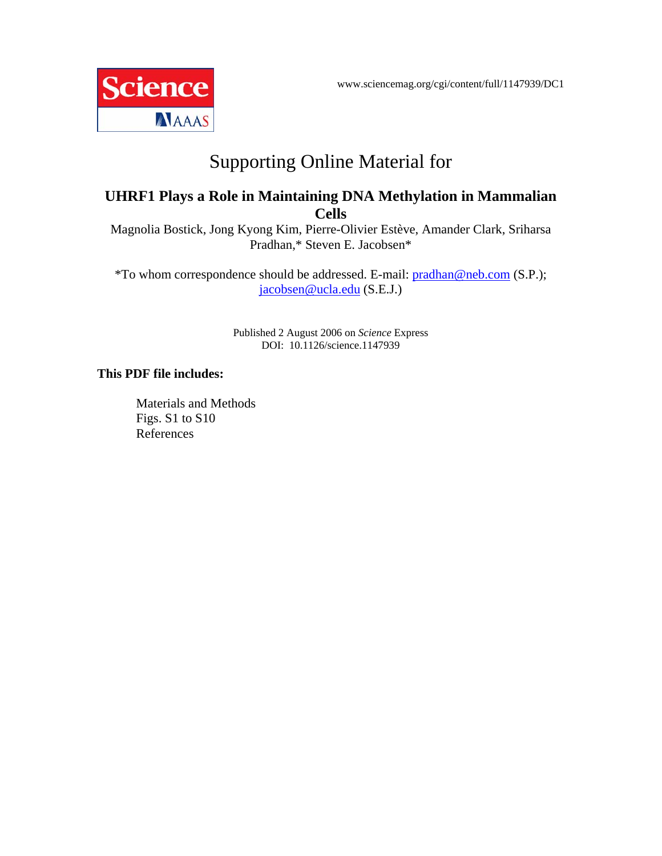www.sciencemag.org/cgi/content/full/1147939/DC1



# Supporting Online Material for

# **UHRF1 Plays a Role in Maintaining DNA Methylation in Mammalian Cells**

Magnolia Bostick, Jong Kyong Kim, Pierre-Olivier Estève, Amander Clark, Sriharsa Pradhan,\* Steven E. Jacobsen\*

\*To whom correspondence should be addressed. E-mail: pradhan@neb.com (S.P.); jacobsen@ucla.edu (S.E.J.)

> Published 2 August 2006 on *Science* Express DOI: 10.1126/science.1147939

### **This PDF file includes:**

Materials and Methods Figs. S1 to S10 References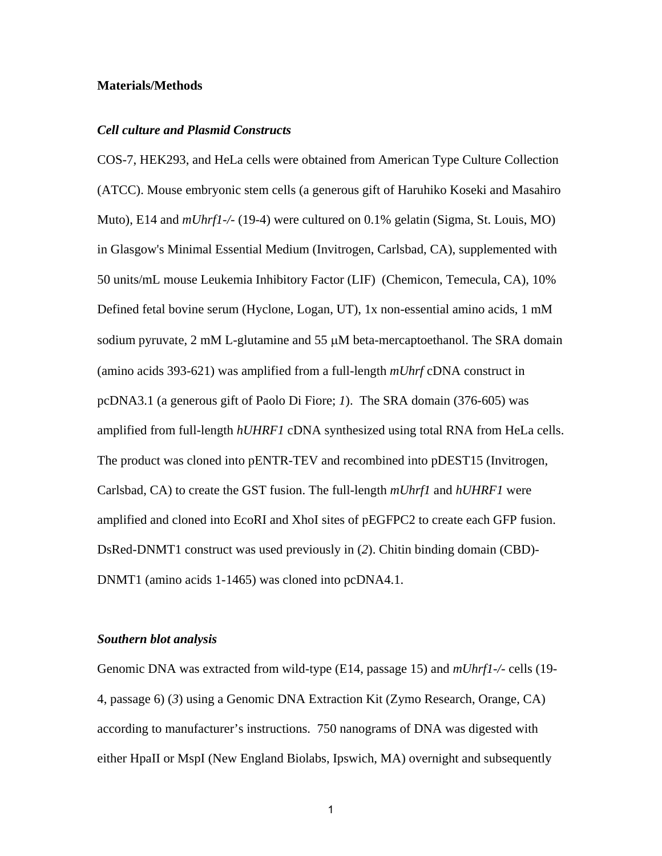#### **Materials/Methods**

#### *Cell culture and Plasmid Constructs*

COS-7, HEK293, and HeLa cells were obtained from American Type Culture Collection (ATCC). Mouse embryonic stem cells (a generous gift of Haruhiko Koseki and Masahiro Muto), E14 and *mUhrf1-/-* (19-4) were cultured on 0.1% gelatin (Sigma, St. Louis, MO) in Glasgow's Minimal Essential Medium (Invitrogen, Carlsbad, CA), supplemented with 50 units/mL mouse Leukemia Inhibitory Factor (LIF) (Chemicon, Temecula, CA), 10% Defined fetal bovine serum (Hyclone, Logan, UT), 1x non-essential amino acids, 1 mM sodium pyruvate, 2 mM L-glutamine and 55 μM beta-mercaptoethanol. The SRA domain (amino acids 393-621) was amplified from a full-length *mUhrf* cDNA construct in pcDNA3.1 (a generous gift of Paolo Di Fiore; *1*). The SRA domain (376-605) was amplified from full-length *hUHRF1* cDNA synthesized using total RNA from HeLa cells. The product was cloned into pENTR-TEV and recombined into pDEST15 (Invitrogen, Carlsbad, CA) to create the GST fusion. The full-length *mUhrf1* and *hUHRF1* were amplified and cloned into EcoRI and XhoI sites of pEGFPC2 to create each GFP fusion. DsRed-DNMT1 construct was used previously in (*2*). Chitin binding domain (CBD)- DNMT1 (amino acids 1-1465) was cloned into pcDNA4.1.

#### *Southern blot analysis*

Genomic DNA was extracted from wild-type (E14, passage 15) and *mUhrf1-/-* cells (19- 4, passage 6) (*3*) using a Genomic DNA Extraction Kit (Zymo Research, Orange, CA) according to manufacturer's instructions. 750 nanograms of DNA was digested with either HpaII or MspI (New England Biolabs, Ipswich, MA) overnight and subsequently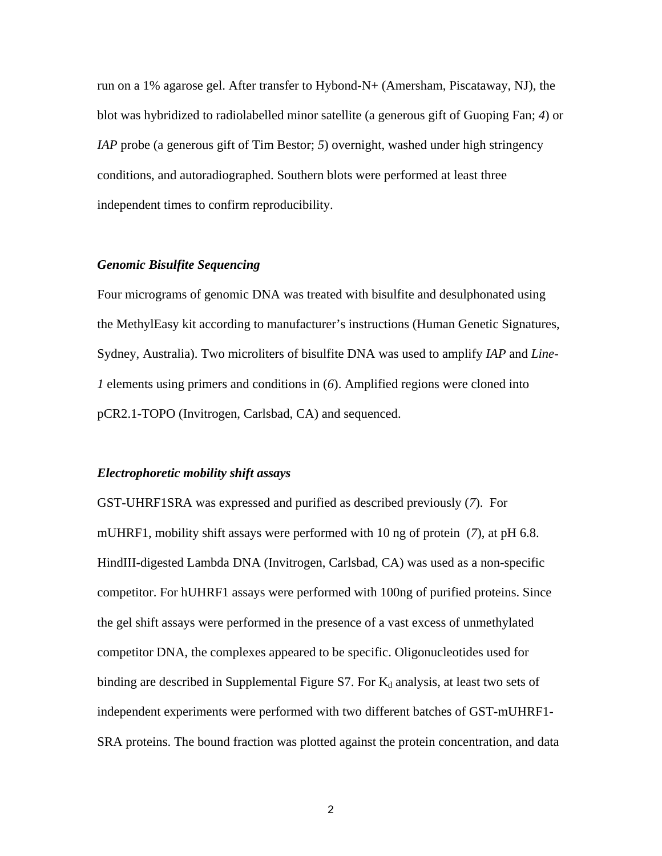run on a 1% agarose gel. After transfer to Hybond-N+ (Amersham, Piscataway, NJ), the blot was hybridized to radiolabelled minor satellite (a generous gift of Guoping Fan; *4*) or *IAP* probe (a generous gift of Tim Bestor; 5) overnight, washed under high stringency conditions, and autoradiographed. Southern blots were performed at least three independent times to confirm reproducibility.

#### *Genomic Bisulfite Sequencing*

Four micrograms of genomic DNA was treated with bisulfite and desulphonated using the MethylEasy kit according to manufacturer's instructions (Human Genetic Signatures, Sydney, Australia). Two microliters of bisulfite DNA was used to amplify *IAP* and *Line-1* elements using primers and conditions in (*6*). Amplified regions were cloned into pCR2.1-TOPO (Invitrogen, Carlsbad, CA) and sequenced.

#### *Electrophoretic mobility shift assays*

GST-UHRF1SRA was expressed and purified as described previously (*7*). For mUHRF1, mobility shift assays were performed with 10 ng of protein (*7*), at pH 6.8. HindIII-digested Lambda DNA (Invitrogen, Carlsbad, CA) was used as a non-specific competitor. For hUHRF1 assays were performed with 100ng of purified proteins. Since the gel shift assays were performed in the presence of a vast excess of unmethylated competitor DNA, the complexes appeared to be specific. Oligonucleotides used for binding are described in Supplemental Figure S7. For  $K_d$  analysis, at least two sets of independent experiments were performed with two different batches of GST-mUHRF1- SRA proteins. The bound fraction was plotted against the protein concentration, and data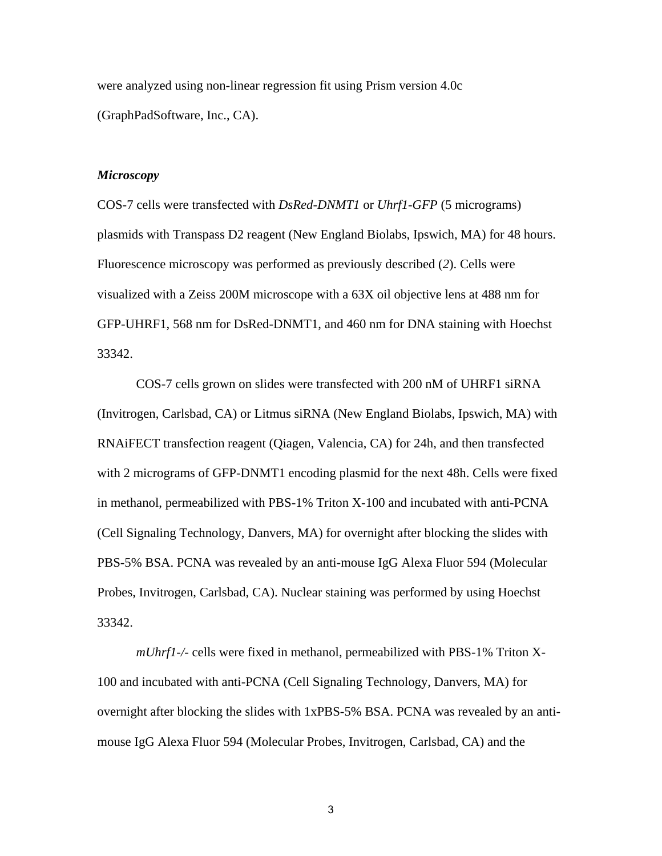were analyzed using non-linear regression fit using Prism version 4.0c (GraphPadSoftware, Inc., CA).

#### *Microscopy*

COS-7 cells were transfected with *DsRed-DNMT1* or *Uhrf1-GFP* (5 micrograms) plasmids with Transpass D2 reagent (New England Biolabs, Ipswich, MA) for 48 hours. Fluorescence microscopy was performed as previously described (*2*). Cells were visualized with a Zeiss 200M microscope with a 63X oil objective lens at 488 nm for GFP-UHRF1, 568 nm for DsRed-DNMT1, and 460 nm for DNA staining with Hoechst 33342.

COS-7 cells grown on slides were transfected with 200 nM of UHRF1 siRNA (Invitrogen, Carlsbad, CA) or Litmus siRNA (New England Biolabs, Ipswich, MA) with RNAiFECT transfection reagent (Qiagen, Valencia, CA) for 24h, and then transfected with 2 micrograms of GFP-DNMT1 encoding plasmid for the next 48h. Cells were fixed in methanol, permeabilized with PBS-1% Triton X-100 and incubated with anti-PCNA (Cell Signaling Technology, Danvers, MA) for overnight after blocking the slides with PBS-5% BSA. PCNA was revealed by an anti-mouse IgG Alexa Fluor 594 (Molecular Probes, Invitrogen, Carlsbad, CA). Nuclear staining was performed by using Hoechst 33342.

*mUhrf1-/-* cells were fixed in methanol, permeabilized with PBS-1% Triton X-100 and incubated with anti-PCNA (Cell Signaling Technology, Danvers, MA) for overnight after blocking the slides with 1xPBS-5% BSA. PCNA was revealed by an antimouse IgG Alexa Fluor 594 (Molecular Probes, Invitrogen, Carlsbad, CA) and the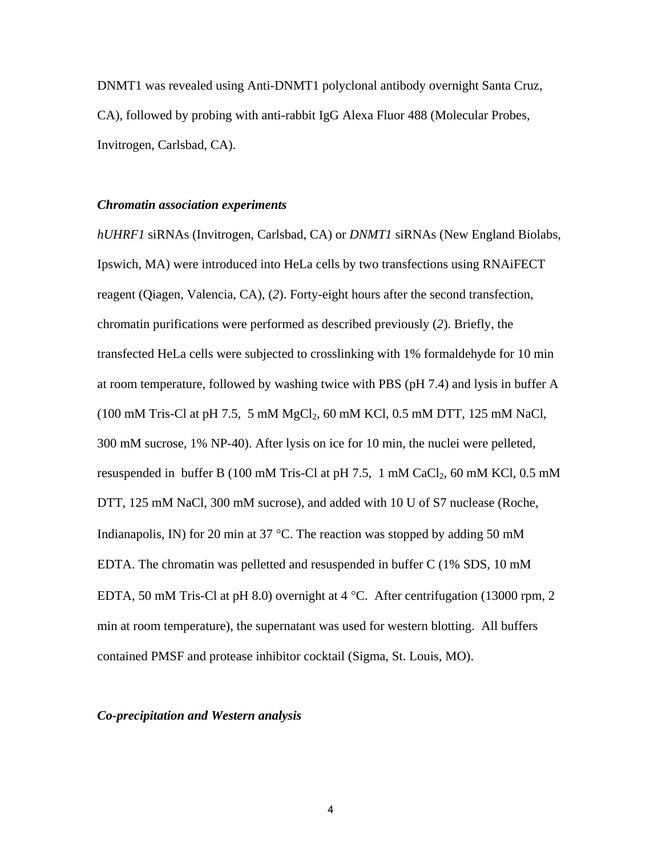DNMT1 was revealed using Anti-DNMT1 polyclonal antibody overnight Santa Cruz, CA), followed by probing with anti-rabbit IgG Alexa Fluor 488 (Molecular Probes, Invitrogen, Carlsbad, CA).

#### *Chromatin association experiments*

*hUHRF1* siRNAs (Invitrogen, Carlsbad, CA) or *DNMT1* siRNAs (New England Biolabs, Ipswich, MA) were introduced into HeLa cells by two transfections using RNAiFECT reagent (Qiagen, Valencia, CA), (*2*). Forty-eight hours after the second transfection, chromatin purifications were performed as described previously (*2*). Briefly, the transfected HeLa cells were subjected to crosslinking with 1% formaldehyde for 10 min at room temperature, followed by washing twice with PBS (pH 7.4) and lysis in buffer A  $(100 \text{ mM Tris-Cl at pH } 7.5, 5 \text{ mM } MgCl<sub>2</sub>, 60 \text{ mM KCl}, 0.5 \text{ mM DTT}, 125 \text{ mM NaCl},$ 300 mM sucrose, 1% NP-40). After lysis on ice for 10 min, the nuclei were pelleted, resuspended in buffer B (100 mM Tris-Cl at pH 7.5, 1 mM CaCl<sub>2</sub>, 60 mM KCl, 0.5 mM DTT, 125 mM NaCl, 300 mM sucrose), and added with 10 U of S7 nuclease (Roche, Indianapolis, IN) for 20 min at 37  $^{\circ}$ C. The reaction was stopped by adding 50 mM EDTA. The chromatin was pelletted and resuspended in buffer C (1% SDS, 10 mM EDTA, 50 mM Tris-Cl at pH 8.0) overnight at 4 °C. After centrifugation (13000 rpm, 2 min at room temperature), the supernatant was used for western blotting. All buffers contained PMSF and protease inhibitor cocktail (Sigma, St. Louis, MO).

#### *Co-precipitation and Western analysis*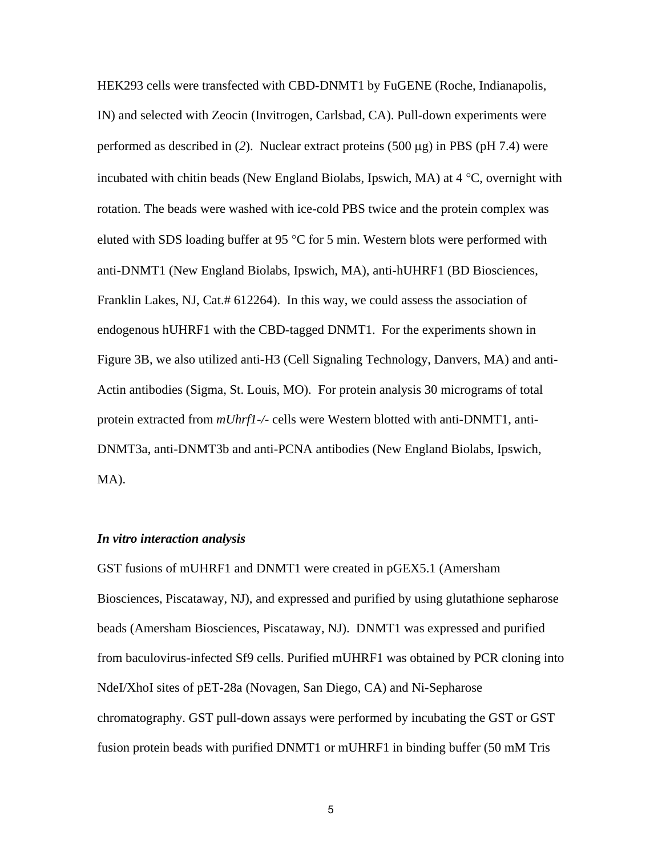HEK293 cells were transfected with CBD-DNMT1 by FuGENE (Roche, Indianapolis, IN) and selected with Zeocin (Invitrogen, Carlsbad, CA). Pull-down experiments were performed as described in (*2*). Nuclear extract proteins (500 μg) in PBS (pH 7.4) were incubated with chitin beads (New England Biolabs, Ipswich, MA) at 4 °C, overnight with rotation. The beads were washed with ice-cold PBS twice and the protein complex was eluted with SDS loading buffer at 95 °C for 5 min. Western blots were performed with anti-DNMT1 (New England Biolabs, Ipswich, MA), anti-hUHRF1 (BD Biosciences, Franklin Lakes, NJ, Cat.# 612264). In this way, we could assess the association of endogenous hUHRF1 with the CBD-tagged DNMT1. For the experiments shown in Figure 3B, we also utilized anti-H3 (Cell Signaling Technology, Danvers, MA) and anti-Actin antibodies (Sigma, St. Louis, MO). For protein analysis 30 micrograms of total protein extracted from *mUhrf1-/-* cells were Western blotted with anti-DNMT1, anti-DNMT3a, anti-DNMT3b and anti-PCNA antibodies (New England Biolabs, Ipswich, MA).

#### *In vitro interaction analysis*

GST fusions of mUHRF1 and DNMT1 were created in pGEX5.1 (Amersham Biosciences, Piscataway, NJ), and expressed and purified by using glutathione sepharose beads (Amersham Biosciences, Piscataway, NJ). DNMT1 was expressed and purified from baculovirus-infected Sf9 cells. Purified mUHRF1 was obtained by PCR cloning into NdeI/XhoI sites of pET-28a (Novagen, San Diego, CA) and Ni-Sepharose chromatography. GST pull-down assays were performed by incubating the GST or GST fusion protein beads with purified DNMT1 or mUHRF1 in binding buffer (50 mM Tris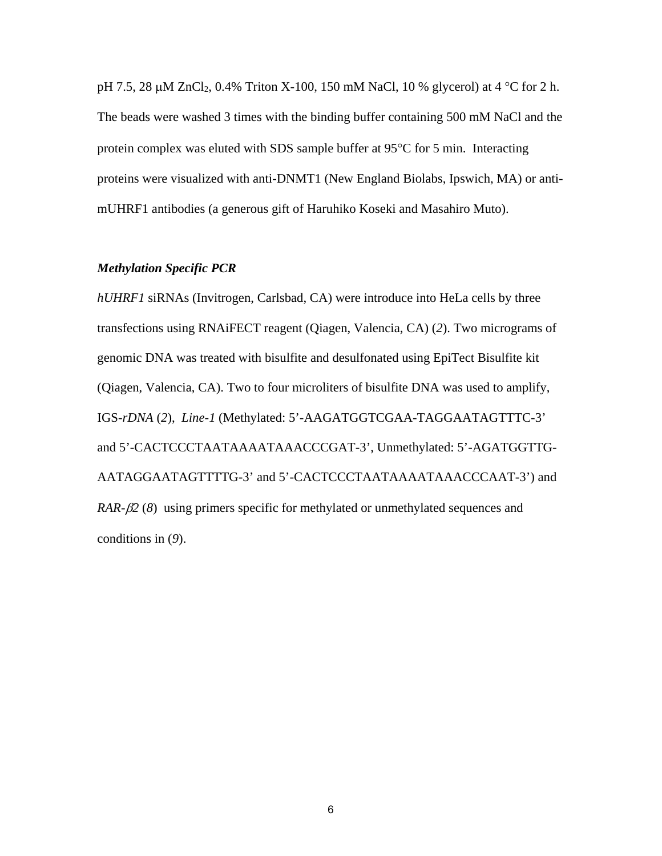pH 7.5, 28 μM ZnCl<sub>2</sub>, 0.4% Triton X-100, 150 mM NaCl, 10 % glycerol) at 4 °C for 2 h. The beads were washed 3 times with the binding buffer containing 500 mM NaCl and the protein complex was eluted with SDS sample buffer at 95°C for 5 min. Interacting proteins were visualized with anti-DNMT1 (New England Biolabs, Ipswich, MA) or antimUHRF1 antibodies (a generous gift of Haruhiko Koseki and Masahiro Muto).

#### *Methylation Specific PCR*

*hUHRF1* siRNAs (Invitrogen, Carlsbad, CA) were introduce into HeLa cells by three transfections using RNAiFECT reagent (Qiagen, Valencia, CA) (*2*). Two micrograms of genomic DNA was treated with bisulfite and desulfonated using EpiTect Bisulfite kit (Qiagen, Valencia, CA). Two to four microliters of bisulfite DNA was used to amplify, IGS-*rDNA* (*2*), *Line-1* (Methylated: 5'-AAGATGGTCGAA-TAGGAATAGTTTC-3' and 5'-CACTCCCTAATAAAATAAACCCGAT-3', Unmethylated: 5'-AGATGGTTG-AATAGGAATAGTTTTG-3' and 5'-CACTCCCTAATAAAATAAACCCAAT-3') and *RAR-*β*2* (*8*) using primers specific for methylated or unmethylated sequences and conditions in (*9*).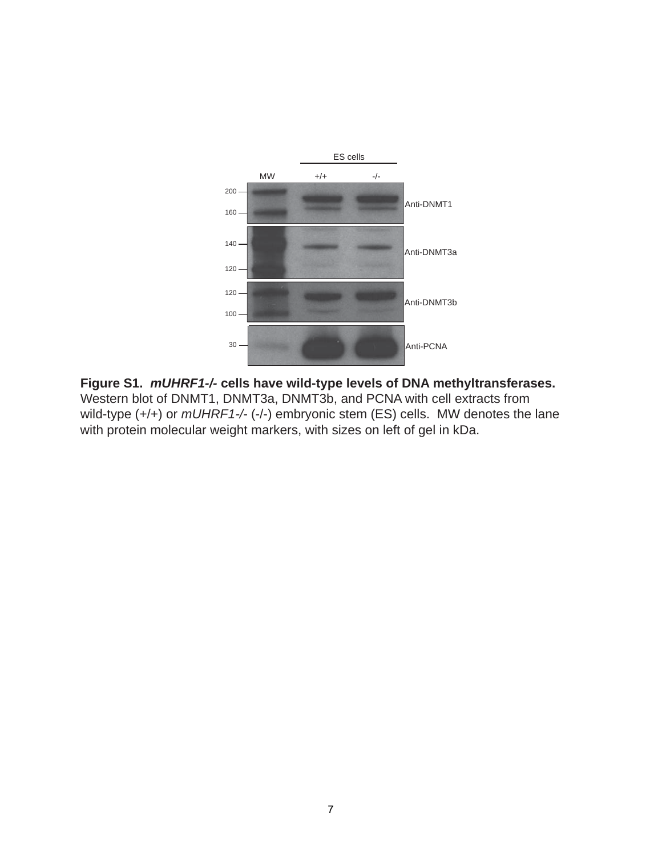

**Figure S1.** *mUHRF1-/-* **cells have wild-type levels of DNA methyltransferases.** Western blot of DNMT1, DNMT3a, DNMT3b, and PCNA with cell extracts from wild-type (+/+) or  $mUHRF1-/-$  (-/-) embryonic stem (ES) cells. MW denotes the lane with protein molecular weight markers, with sizes on left of gel in kDa.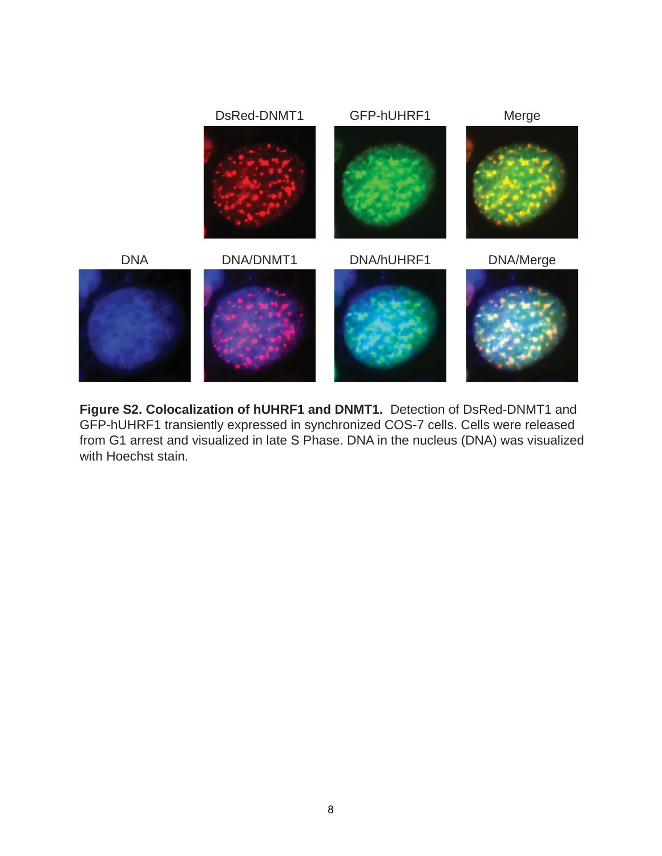

**Figure S2. Colocalization of hUHRF1 and DNMT1.** Detection of DsRed-DNMT1 and GFP-hUHRF1 transiently expressed in synchronized COS-7 cells. Cells were released from G1 arrest and visualized in late S Phase. DNA in the nucleus (DNA) was visualized with Hoechst stain.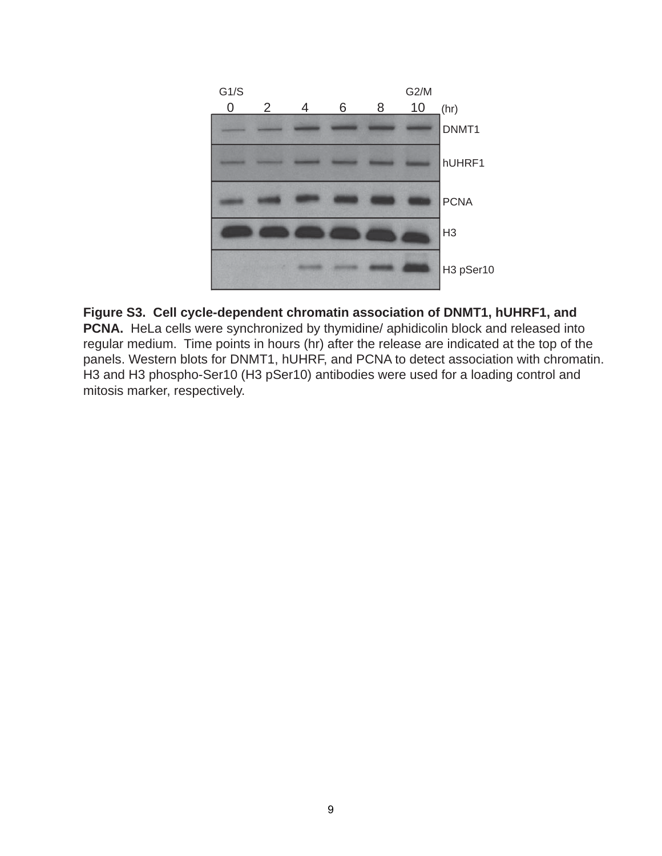

# **Figure S3. Cell cycle-dependent chromatin association of DNMT1, hUHRF1, and**

**PCNA.** HeLa cells were synchronized by thymidine/ aphidicolin block and released into regular medium. Time points in hours (hr) after the release are indicated at the top of the panels. Western blots for DNMT1, hUHRF, and PCNA to detect association with chromatin. H3 and H3 phospho-Ser10 (H3 pSer10) antibodies were used for a loading control and mitosis marker, respectively.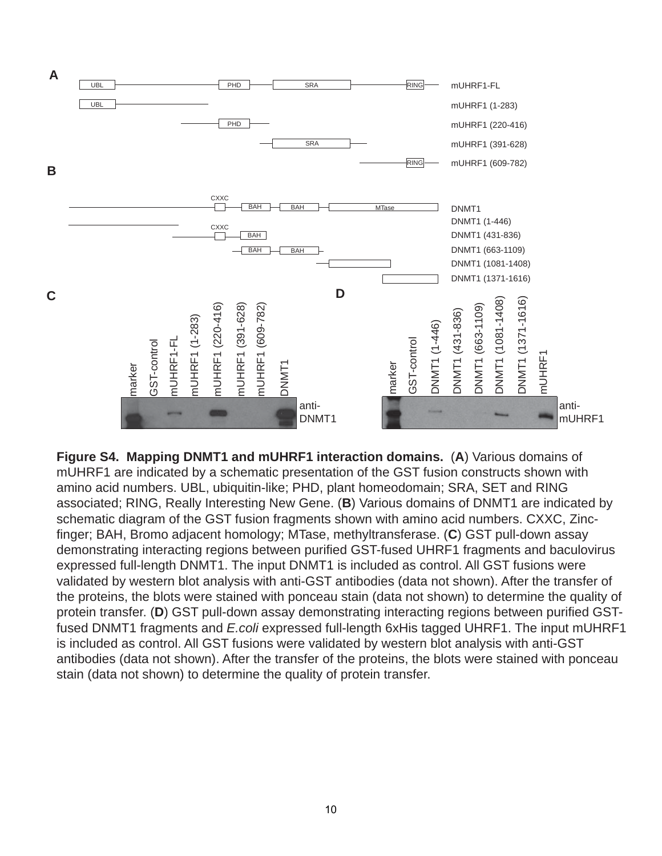

**Figure S4. Mapping DNMT1 and mUHRF1 interaction domains.** (**A**) Various domains of mUHRF1 are indicated by a schematic presentation of the GST fusion constructs shown with amino acid numbers. UBL, ubiquitin-like; PHD, plant homeodomain; SRA, SET and RING associated; RING, Really Interesting New Gene. (**B**) Various domains of DNMT1 are indicated by schematic diagram of the GST fusion fragments shown with amino acid numbers. CXXC, Zincfinger; BAH, Bromo adjacent homology; MTase, methyltransferase. (**C**) GST pull-down assay demonstrating interacting regions between purified GST-fused UHRF1 fragments and baculovirus expressed full-length DNMT1. The input DNMT1 is included as control. All GST fusions were validated by western blot analysis with anti-GST antibodies (data not shown). After the transfer of the proteins, the blots were stained with ponceau stain (data not shown) to determine the quality of protein transfer. (**D**) GST pull-down assay demonstrating interacting regions between purified GSTfused DNMT1 fragments and *E.coli* expressed full-length 6xHis tagged UHRF1. The input mUHRF1 is included as control. All GST fusions were validated by western blot analysis with anti-GST antibodies (data not shown). After the transfer of the proteins, the blots were stained with ponceau stain (data not shown) to determine the quality of protein transfer.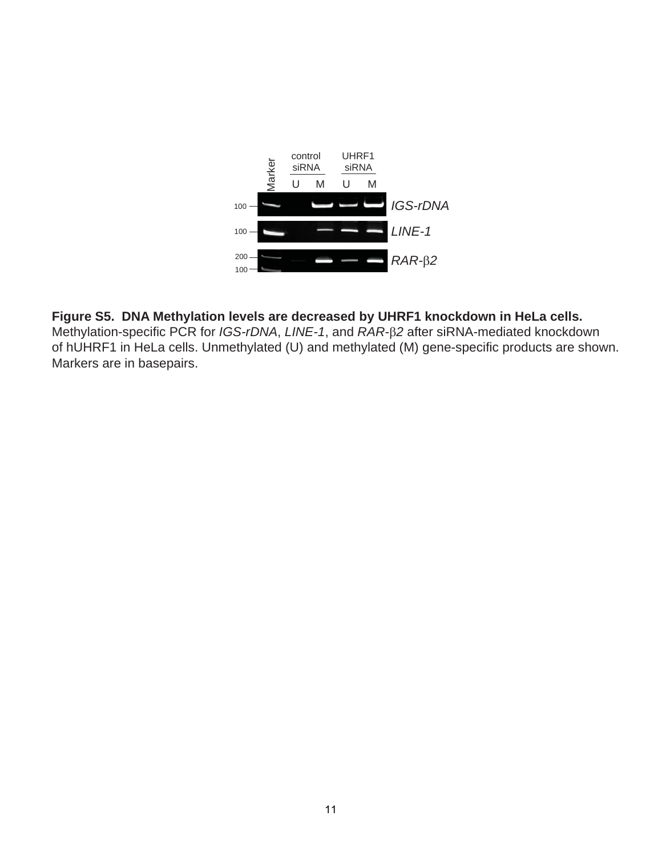

# **Figure S5. DNA Methylation levels are decreased by UHRF1 knockdown in HeLa cells.**

Methylation-specific PCR for *IGS-rDNA*, *LINE-1*, and *RAR-*β*2* after siRNA-mediated knockdown of hUHRF1 in HeLa cells. Unmethylated (U) and methylated (M) gene-specific products are shown. Markers are in basepairs.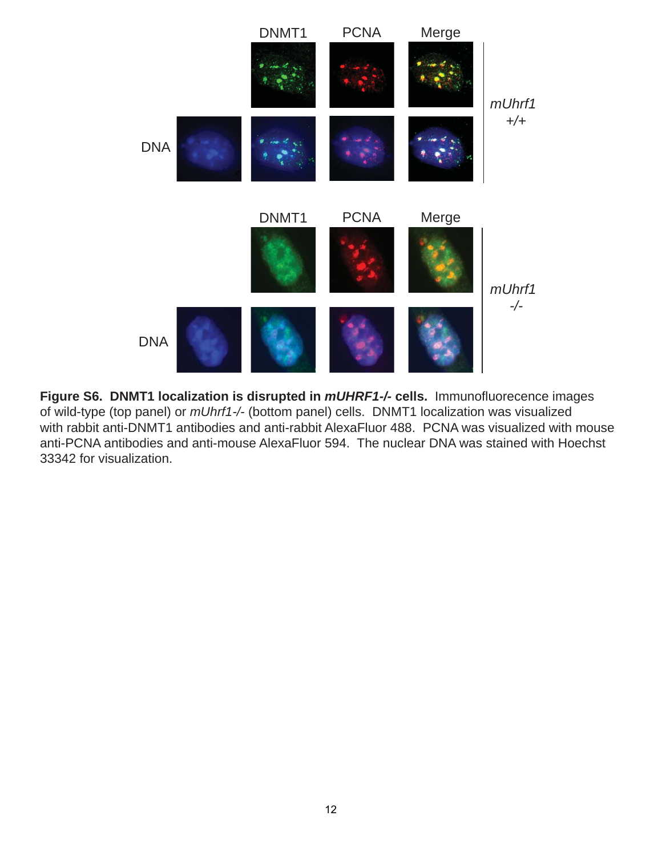

**Figure S6. DNMT1 localization is disrupted in** *mUHRF1-/-* **cells.** Immunofluorecence images of wild-type (top panel) or *mUhrf1-/-* (bottom panel) cells. DNMT1 localization was visualized with rabbit anti-DNMT1 antibodies and anti-rabbit AlexaFluor 488. PCNA was visualized with mouse anti-PCNA antibodies and anti-mouse AlexaFluor 594. The nuclear DNA was stained with Hoechst 33342 for visualization.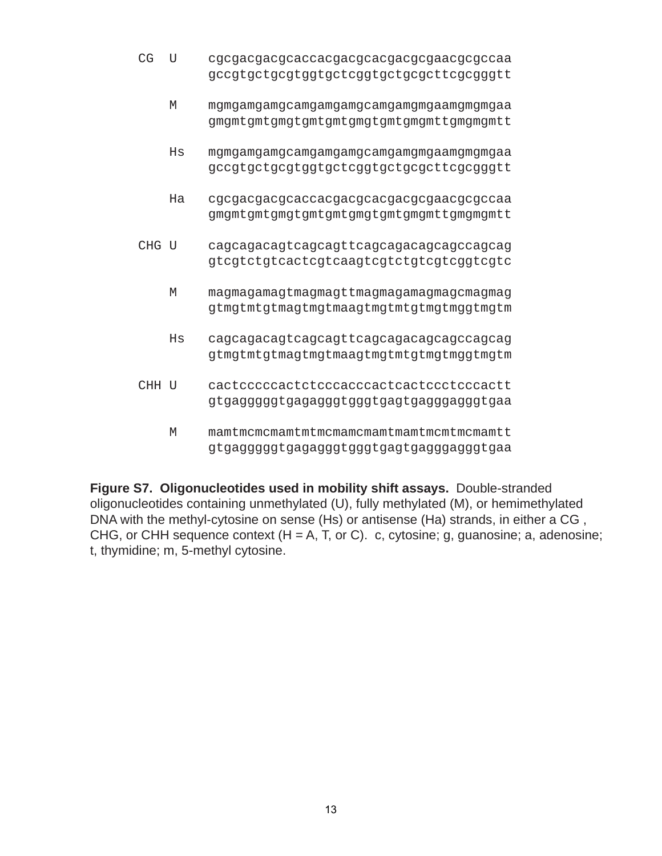- CG U cgcgacgacgcaccacgacgcacgacgcgaacgcgccaa gccgtgctgcgtggtgctcggtgctgcgcttcgcgggtt
	- M mgmgamgamgcamgamgamgcamgamgmgaamgmgmgaa gmgmtgmtgmgtgmtgmtgmgtgmtgmgmttgmgmgmtt
	- Hs mgmgamgamgcamgamgamgcamgamgmgaamgmgmgaa gccgtgctgcgtggtgctcggtgctgcgcttcgcgggtt
	- Ha cgcgacgacgcaccacgacgcacgacgcgaacgcgccaa gmgmtgmtgmgtgmtgmtgmgtgmtgmgmttgmgmgmtt
- CHG U cagcagacagtcagcagttcagcagacagcagccagcag gtcgtctgtcactcgtcaagtcgtctgtcgtcggtcgtc
	- M magmagamagtmagmagttmagmagamagmagcmagmag gtmgtmtgtmagtmgtmaagtmgtmtgtmgtmggtmgtm
	- Hs cagcagacagtcagcagttcagcagacagcagccagcag gtmgtmtgtmagtmgtmaagtmgtmtgtmgtmggtmgtm
- CHH U cactcccccactctcccacccactcactccctcccactt gtgagggggtgagagggtgggtgagtgagggagggtgaa
	- M mamtmcmcmamtmtmcmamcmamtmamtmcmtmcmamtt gtgagggggtgagagggtgggtgagtgagggagggtgaa

**Figure S7. Oligonucleotides used in mobility shift assays.** Double-stranded oligonucleotides containing unmethylated (U), fully methylated (M), or hemimethylated DNA with the methyl-cytosine on sense (Hs) or antisense (Ha) strands, in either a CG , CHG, or CHH sequence context  $(H = A, T, or C)$ . c, cytosine; g, guanosine; a, adenosine; t, thymidine; m, 5-methyl cytosine.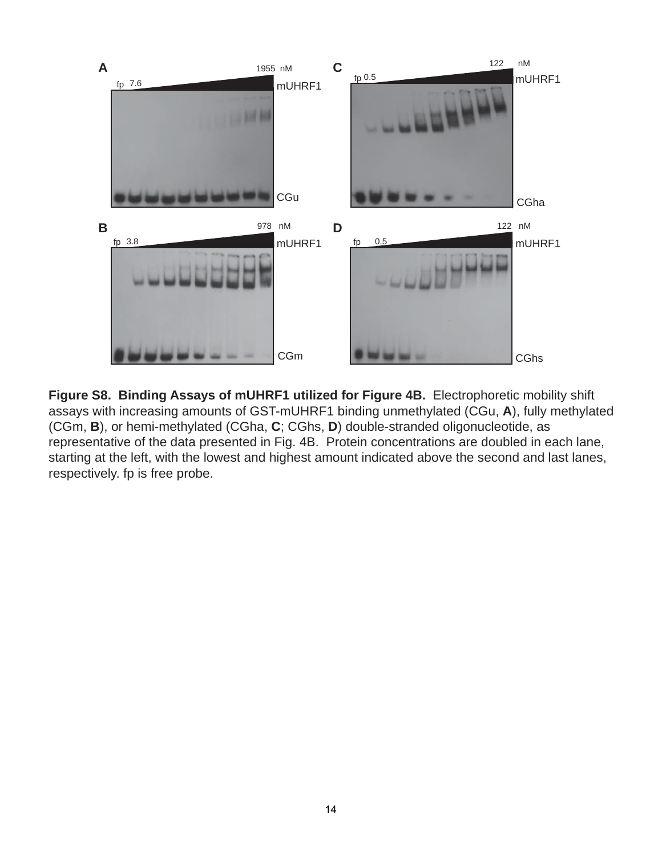

**Figure S8. Binding Assays of mUHRF1 utilized for Figure 4B.** Electrophoretic mobility shift assays with increasing amounts of GST-mUHRF1 binding unmethylated (CGu, **A**), fully methylated (CGm, **B**), or hemi-methylated (CGha, **C**; CGhs, **D**) double-stranded oligonucleotide, as representative of the data presented in Fig. 4B. Protein concentrations are doubled in each lane, starting at the left, with the lowest and highest amount indicated above the second and last lanes, respectively. fp is free probe.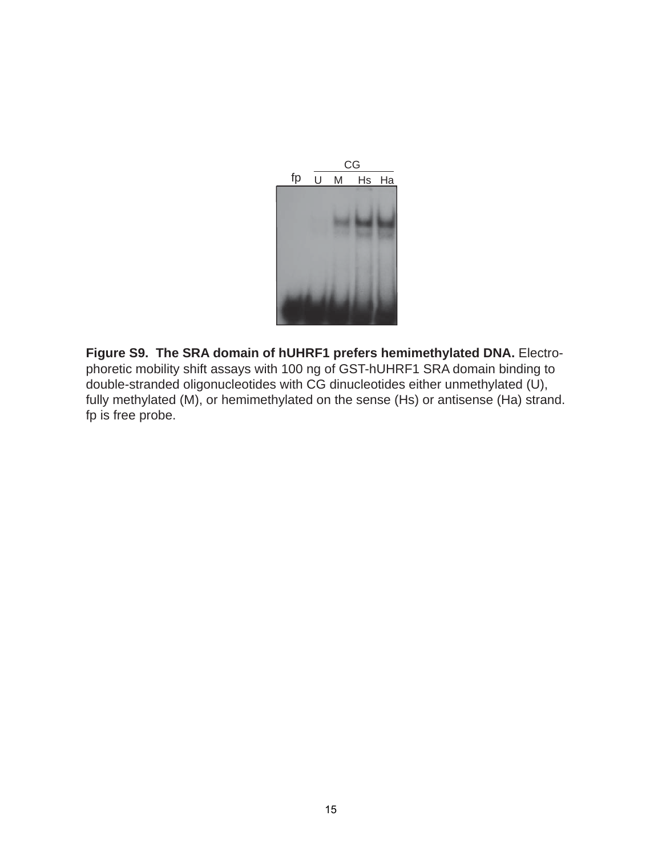

**Figure S9. The SRA domain of hUHRF1 prefers hemimethylated DNA.** Electrophoretic mobility shift assays with 100 ng of GST-hUHRF1 SRA domain binding to double-stranded oligonucleotides with CG dinucleotides either unmethylated (U), fully methylated (M), or hemimethylated on the sense (Hs) or antisense (Ha) strand. fp is free probe.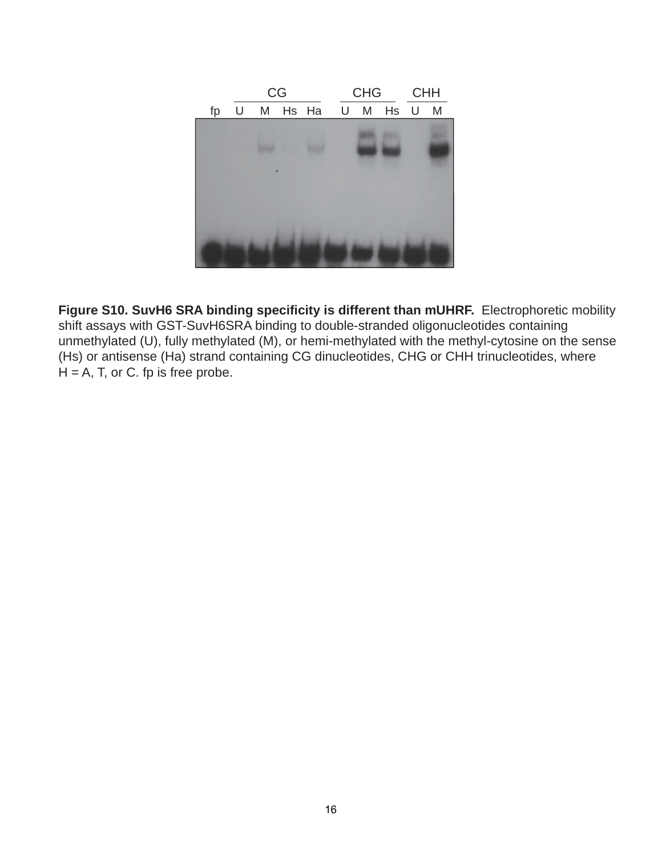

**Figure S10. SuvH6 SRA binding specificity is different than mUHRF.** Electrophoretic mobility shift assays with GST-SuvH6SRA binding to double-stranded oligonucleotides containing unmethylated (U), fully methylated (M), or hemi-methylated with the methyl-cytosine on the sense (Hs) or antisense (Ha) strand containing CG dinucleotides, CHG or CHH trinucleotides, where  $H = A$ , T, or C. fp is free probe.